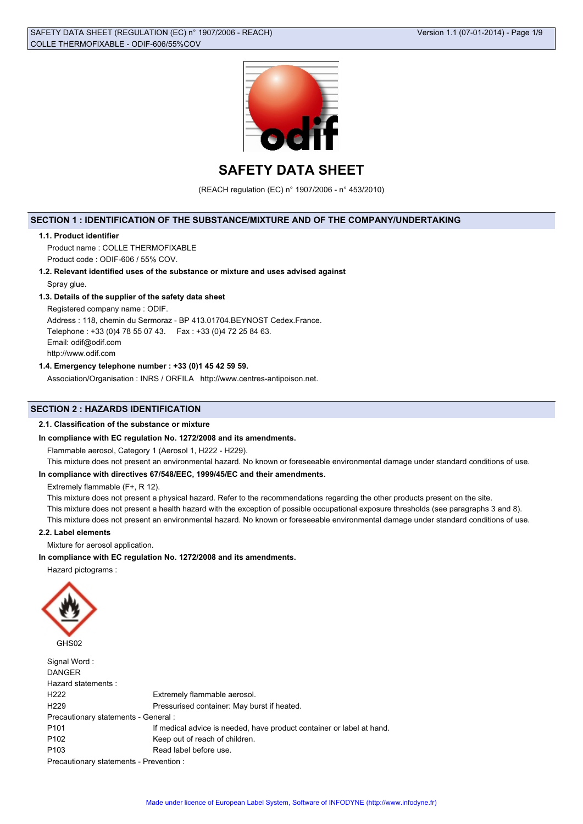

**SAFETY DATA SHEET**

(REACH regulation (EC) n° 1907/2006 - n° 453/2010)

# **SECTION 1 : IDENTIFICATION OF THE SUBSTANCE/MIXTURE AND OF THE COMPANY/UNDERTAKING**

#### **1.1. Product identifier**

Product name : COLLE THERMOFIXABLE Product code : ODIF-606 / 55% COV.

**1.2. Relevant identified uses of the substance or mixture and uses advised against**

Spray glue.

# **1.3. Details of the supplier of the safety data sheet**

Registered company name : ODIF.

Address : 118, chemin du Sermoraz - BP 413.01704.BEYNOST Cedex.France. Telephone : +33 (0)4 78 55 07 43. Fax : +33 (0)4 72 25 84 63. Email: odif@odif.com http://www.odif.com

# **1.4. Emergency telephone number : +33 (0)1 45 42 59 59.**

Association/Organisation : INRS / ORFILA http://www.centres-antipoison.net.

# **SECTION 2 : HAZARDS IDENTIFICATION**

## **2.1. Classification of the substance or mixture**

## **In compliance with EC regulation No. 1272/2008 and its amendments.**

Flammable aerosol, Category 1 (Aerosol 1, H222 - H229).

This mixture does not present an environmental hazard. No known or foreseeable environmental damage under standard conditions of use.

# **In compliance with directives 67/548/EEC, 1999/45/EC and their amendments.**

Extremely flammable (F+, R 12).

This mixture does not present a physical hazard. Refer to the recommendations regarding the other products present on the site.

This mixture does not present a health hazard with the exception of possible occupational exposure thresholds (see paragraphs 3 and 8).

This mixture does not present an environmental hazard. No known or foreseeable environmental damage under standard conditions of use.

## **2.2. Label elements**

Mixture for aerosol application.

#### **In compliance with EC regulation No. 1272/2008 and its amendments.**

Hazard pictograms :



| Signal Word:<br><b>DANGER</b>           |                                                                       |
|-----------------------------------------|-----------------------------------------------------------------------|
| Hazard statements:                      |                                                                       |
| H <sub>222</sub>                        | Extremely flammable aerosol.                                          |
| H <sub>229</sub>                        | Pressurised container: May burst if heated.                           |
| Precautionary statements - General :    |                                                                       |
| P <sub>101</sub>                        | If medical advice is needed, have product container or label at hand. |
| P <sub>102</sub>                        | Keep out of reach of children.                                        |
| P <sub>103</sub>                        | Read label before use.                                                |
| Precautionary statements - Prevention : |                                                                       |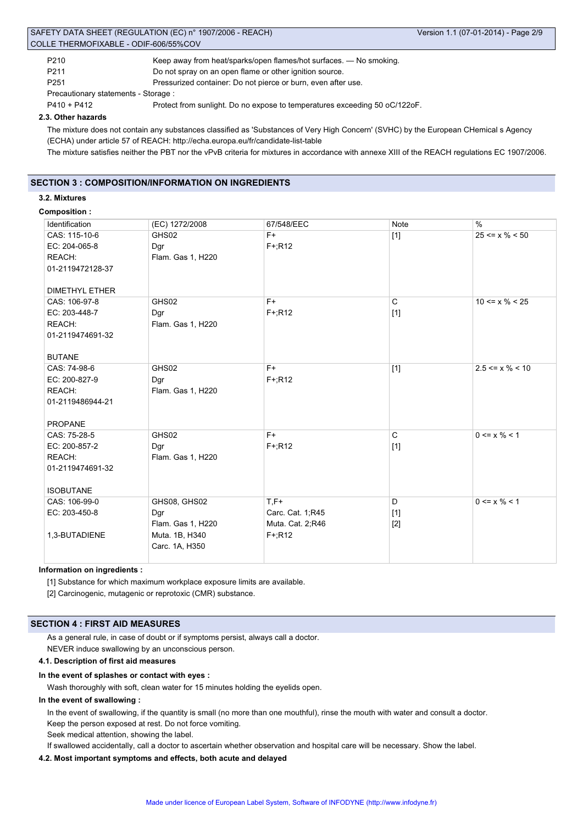| SAFETY DATA SHEET (REGULATION (EC) n° 1907/2006 - REACH) | Version 1.1 (07-01-2014) - Page 2/9                                |  |
|----------------------------------------------------------|--------------------------------------------------------------------|--|
|                                                          | COLLE THERMOFIXABLE - ODIF-606/55%COV                              |  |
| P210                                                     | Keep away from heat/sparks/open flames/hot surfaces. — No smoking. |  |
| P <sub>211</sub>                                         | Do not spray on an open flame or other ignition source.            |  |
| P251                                                     | Pressurized container: Do not pierce or burn, even after use.      |  |

Precautionary statements - Storage :

P410 + P412 Protect from sunlight. Do no expose to temperatures exceeding 50 oC/122oF.

## **2.3. Other hazards**

The mixture does not contain any substances classified as 'Substances of Very High Concern' (SVHC) by the European CHemical s Agency (ECHA) under article 57 of REACH: http://echa.europa.eu/fr/candidate-list-table

The mixture satisfies neither the PBT nor the vPvB criteria for mixtures in accordance with annexe XIII of the REACH regulations EC 1907/2006.

# **SECTION 3 : COMPOSITION/INFORMATION ON INGREDIENTS**

# **3.2. Mixtures**

## **Composition :**

| Identification        | (EC) 1272/2008    | 67/548/EEC       | Note         | %                           |
|-----------------------|-------------------|------------------|--------------|-----------------------------|
| CAS: 115-10-6         | GHS02             | $F+$             | $[1]$        | $25 \le x \% \le 50$        |
| EC: 204-065-8         | Dgr               | $F+;R12$         |              |                             |
| REACH:                | Flam. Gas 1, H220 |                  |              |                             |
| 01-2119472128-37      |                   |                  |              |                             |
| <b>DIMETHYL ETHER</b> |                   |                  |              |                             |
| CAS: 106-97-8         | GHS02             | F+               | $\mathsf{C}$ | $10 \le x \% \le 25$        |
| EC: 203-448-7         | Dgr               | $F+;R12$         | $[1]$        |                             |
| REACH:                | Flam. Gas 1, H220 |                  |              |                             |
| 01-2119474691-32      |                   |                  |              |                             |
| <b>BUTANE</b>         |                   |                  |              |                             |
| CAS: 74-98-6          | GHS02             | $F+$             | $[1]$        | $2.5 \le x \% \le 10$       |
| EC: 200-827-9         | Dgr               | $F+;R12$         |              |                             |
| REACH:                | Flam. Gas 1, H220 |                  |              |                             |
| 01-2119486944-21      |                   |                  |              |                             |
|                       |                   |                  |              |                             |
| <b>PROPANE</b>        |                   |                  |              |                             |
| CAS: 75-28-5          | GHS02             | $F+$             | C            | $0 \le x \frac{9}{6} \le 1$ |
| EC: 200-857-2         | Dgr               | $F+;R12$         | $[1]$        |                             |
| REACH:                | Flam. Gas 1, H220 |                  |              |                             |
| 01-2119474691-32      |                   |                  |              |                             |
|                       |                   |                  |              |                             |
| <b>ISOBUTANE</b>      |                   |                  |              |                             |
| CAS: 106-99-0         | GHS08, GHS02      | $T,F+$           | D            | $0 \le x \% \le 1$          |
| EC: 203-450-8         | Dgr               | Carc. Cat. 1;R45 | $[1]$        |                             |
|                       | Flam. Gas 1, H220 | Muta. Cat. 2;R46 | $[2]$        |                             |
| 1,3-BUTADIENE         | Muta. 1B, H340    | $F^{+}$ ;R12     |              |                             |
|                       | Carc. 1A, H350    |                  |              |                             |
|                       |                   |                  |              |                             |

**Information on ingredients :**

[1] Substance for which maximum workplace exposure limits are available.

[2] Carcinogenic, mutagenic or reprotoxic (CMR) substance.

#### **SECTION 4 : FIRST AID MEASURES**

As a general rule, in case of doubt or if symptoms persist, always call a doctor.

NEVER induce swallowing by an unconscious person.

# **4.1. Description of first aid measures**

### **In the event of splashes or contact with eyes :**

Wash thoroughly with soft, clean water for 15 minutes holding the eyelids open.

# **In the event of swallowing :**

In the event of swallowing, if the quantity is small (no more than one mouthful), rinse the mouth with water and consult a doctor. Keep the person exposed at rest. Do not force vomiting.

Seek medical attention, showing the label.

If swallowed accidentally, call a doctor to ascertain whether observation and hospital care will be necessary. Show the label.

# **4.2. Most important symptoms and effects, both acute and delayed**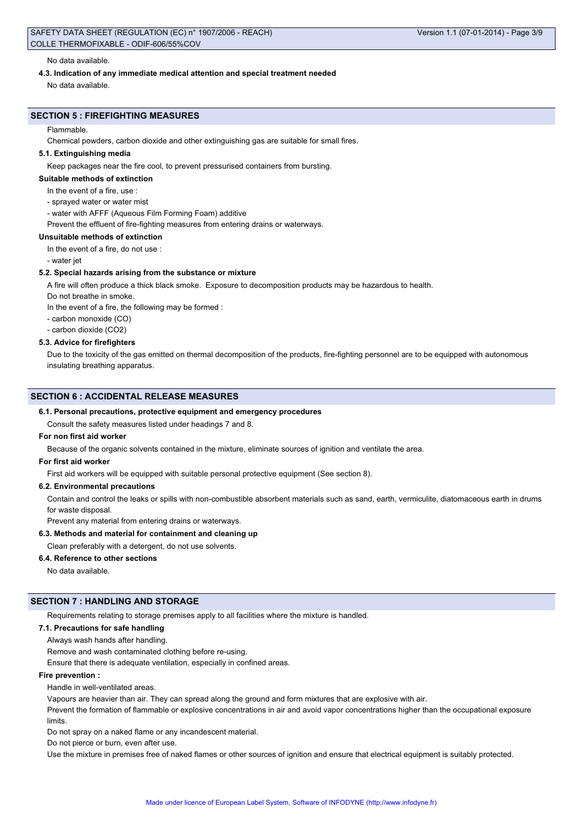#### No data available.

#### **4.3. Indication of any immediate medical attention and special treatment needed**

No data available.

## **SECTION 5 : FIREFIGHTING MEASURES**

#### Flammable.

Chemical powders, carbon dioxide and other extinguishing gas are suitable for small fires.

#### **5.1. Extinguishing media**

Keep packages near the fire cool, to prevent pressurised containers from bursting.

#### **Suitable methods of extinction**

- In the event of a fire, use :
- sprayed water or water mist

- water with AFFF (Aqueous Film Forming Foam) additive

Prevent the effluent of fire-fighting measures from entering drains or waterways.

#### **Unsuitable methods of extinction**

In the event of a fire, do not use :

- water jet

#### **5.2. Special hazards arising from the substance or mixture**

A fire will often produce a thick black smoke. Exposure to decomposition products may be hazardous to health.

Do not breathe in smoke.

In the event of a fire, the following may be formed :

- carbon monoxide (CO)
- carbon dioxide (CO2)

## **5.3. Advice for firefighters**

Due to the toxicity of the gas emitted on thermal decomposition of the products, fire-fighting personnel are to be equipped with autonomous insulating breathing apparatus.

#### **SECTION 6 : ACCIDENTAL RELEASE MEASURES**

#### **6.1. Personal precautions, protective equipment and emergency procedures**

Consult the safety measures listed under headings 7 and 8.

## **For non first aid worker**

Because of the organic solvents contained in the mixture, eliminate sources of ignition and ventilate the area.

#### **For first aid worker**

First aid workers will be equipped with suitable personal protective equipment (See section 8).

## **6.2. Environmental precautions**

Contain and control the leaks or spills with non-combustible absorbent materials such as sand, earth, vermiculite, diatomaceous earth in drums for waste disposal.

Prevent any material from entering drains or waterways.

## **6.3. Methods and material for containment and cleaning up**

#### Clean preferably with a detergent, do not use solvents.

#### **6.4. Reference to other sections**

No data available.

## **SECTION 7 : HANDLING AND STORAGE**

Requirements relating to storage premises apply to all facilities where the mixture is handled.

#### **7.1. Precautions for safe handling**

Always wash hands after handling.

Remove and wash contaminated clothing before re-using.

Ensure that there is adequate ventilation, especially in confined areas.

#### **Fire prevention :**

Handle in well-ventilated areas.

Vapours are heavier than air. They can spread along the ground and form mixtures that are explosive with air.

Prevent the formation of flammable or explosive concentrations in air and avoid vapor concentrations higher than the occupational exposure limits.

Do not spray on a naked flame or any incandescent material.

Do not pierce or burn, even after use.

Use the mixture in premises free of naked flames or other sources of ignition and ensure that electrical equipment is suitably protected.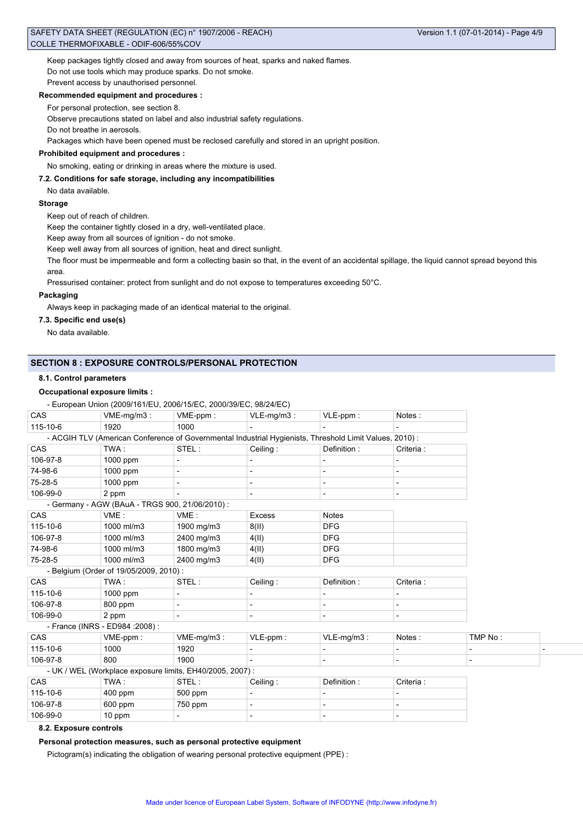## SAFETY DATA SHEET (REGULATION (EC) n° 1907/2006 - REACH) COLLE THERMOFIXABLE - ODIF-606/55%COV

Keep packages tightly closed and away from sources of heat, sparks and naked flames. Do not use tools which may produce sparks. Do not smoke.

# Prevent access by unauthorised personnel. **Recommended equipment and procedures :**

For personal protection, see section 8.

Observe precautions stated on label and also industrial safety regulations.

Do not breathe in aerosols.

Packages which have been opened must be reclosed carefully and stored in an upright position.

## **Prohibited equipment and procedures :**

No smoking, eating or drinking in areas where the mixture is used.

#### **7.2. Conditions for safe storage, including any incompatibilities**

No data available.

#### **Storage**

Keep out of reach of children.

Keep the container tightly closed in a dry, well-ventilated place.

Keep away from all sources of ignition - do not smoke.

Keep well away from all sources of ignition, heat and direct sunlight.

The floor must be impermeable and form a collecting basin so that, in the event of an accidental spillage, the liquid cannot spread beyond this area.

Pressurised container: protect from sunlight and do not expose to temperatures exceeding 50°C.

## **Packaging**

Always keep in packaging made of an identical material to the original.

## **7.3. Specific end use(s)**

No data available.

## **SECTION 8 : EXPOSURE CONTROLS/PERSONAL PROTECTION**

#### **8.1. Control parameters**

## **Occupational exposure limits :**

- European Union (2009/161/EU, 2006/15/EC, 2000/39/EC, 98/24/EC)

|            | Larepour Union (2000) TO ITLO, 2000) TOILO, 2000/00/LO, 00/24/LO)                                       |            |                |                          |            |  |
|------------|---------------------------------------------------------------------------------------------------------|------------|----------------|--------------------------|------------|--|
| CAS        | VME-mg/m3:                                                                                              | VME-ppm:   | $VLE-mg/m3$ :  | $VLE-ppm$ :              | Notes:     |  |
| 115-10-6   | 1920                                                                                                    | 1000       |                |                          |            |  |
|            | - ACGIH TLV (American Conference of Governmental Industrial Hygienists, Threshold Limit Values, 2010) : |            |                |                          |            |  |
| CAS        | TWA :                                                                                                   | STEL:      | Ceiling:       | Definition:              | Criteria : |  |
| 106-97-8   | 1000 ppm                                                                                                |            |                |                          |            |  |
| 74-98-6    | 1000 ppm                                                                                                |            |                |                          |            |  |
| 75-28-5    | 1000 ppm                                                                                                |            | $\overline{a}$ | $\overline{\phantom{a}}$ |            |  |
| 106-99-0   | 2 ppm                                                                                                   |            |                |                          |            |  |
|            | - Germany - AGW (BAuA - TRGS 900, 21/06/2010):                                                          |            |                |                          |            |  |
| CAS        | VME:                                                                                                    | VME:       | <b>Excess</b>  | <b>Notes</b>             |            |  |
| 115-10-6   | 1000 ml/m3                                                                                              | 1900 mg/m3 | 8(II)          | <b>DFG</b>               |            |  |
| 106-97-8   | 1000 ml/m3                                                                                              | 2400 mg/m3 | 4(II)          | <b>DFG</b>               |            |  |
| 74-98-6    | 1000 ml/m3                                                                                              | 1800 mg/m3 | 4(II)          | <b>DFG</b>               |            |  |
| 75-28-5    | 1000 ml/m3                                                                                              | 2400 mg/m3 | 4(II)          | <b>DFG</b>               |            |  |
|            | - Belgium (Order of 19/05/2009, 2010):                                                                  |            |                |                          |            |  |
| CAS        | TWA:                                                                                                    | STEL:      | Ceiling:       | Definition:              | Criteria:  |  |
| 115-10-6   | 1000 ppm                                                                                                |            |                |                          |            |  |
| 106-97-8   | 800 ppm                                                                                                 |            |                |                          |            |  |
| 106-99-0   | 2 ppm                                                                                                   |            |                |                          |            |  |
|            | - France (INRS - ED984 : 2008) :                                                                        |            |                |                          |            |  |
| <b>CAS</b> | VME-ppm:                                                                                                | VME-mg/m3: | $VLE-ppm$ :    | VLE-mg/m3:               | Notes:     |  |
| 115-10-6   | 1000                                                                                                    | 1920       |                |                          |            |  |
| 106-97-8   | 800                                                                                                     | 1900       |                |                          |            |  |
|            | - UK / WEL (Workplace exposure limits, EH40/2005, 2007) :                                               |            |                |                          |            |  |
| CAS        | TWA:                                                                                                    | STEL:      | Ceiling:       | Definition:              | Criteria:  |  |
| 115-10-6   | $400$ ppm                                                                                               | 500 ppm    |                |                          |            |  |
| 106-97-8   | 600 ppm                                                                                                 | 750 ppm    | $\blacksquare$ |                          |            |  |
| 106-99-0   | 10 ppm                                                                                                  |            |                |                          |            |  |

#### **8.2. Exposure controls**

**Personal protection measures, such as personal protective equipment**

Pictogram(s) indicating the obligation of wearing personal protective equipment (PPE) :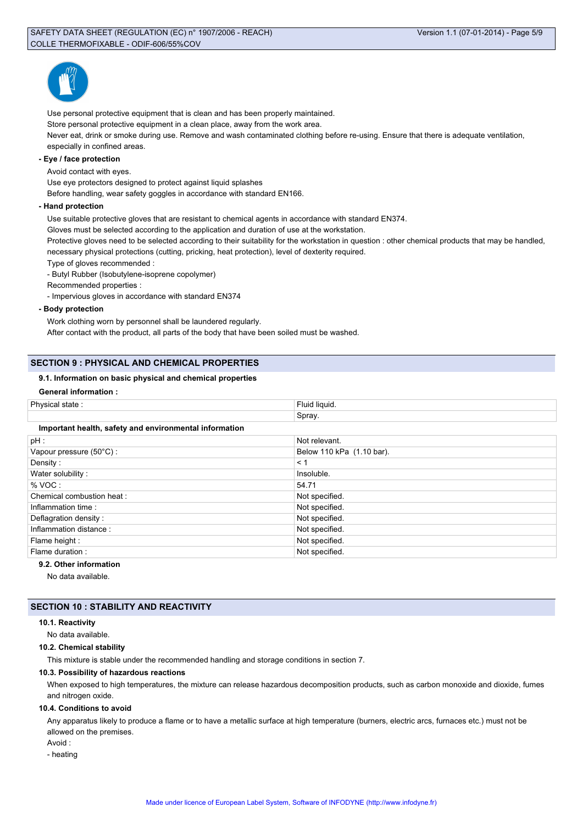

Use personal protective equipment that is clean and has been properly maintained. Store personal protective equipment in a clean place, away from the work area. Never eat, drink or smoke during use. Remove and wash contaminated clothing before re-using. Ensure that there is adequate ventilation, especially in confined areas.

## **- Eye / face protection**

Avoid contact with eyes.

Use eye protectors designed to protect against liquid splashes

Before handling, wear safety goggles in accordance with standard EN166.

#### **- Hand protection**

Use suitable protective gloves that are resistant to chemical agents in accordance with standard EN374.

Gloves must be selected according to the application and duration of use at the workstation.

Protective gloves need to be selected according to their suitability for the workstation in question : other chemical products that may be handled, necessary physical protections (cutting, pricking, heat protection), level of dexterity required.

Type of gloves recommended :

- Butyl Rubber (Isobutylene-isoprene copolymer)

Recommended properties :

- Impervious gloves in accordance with standard EN374

**- Body protection**

Work clothing worn by personnel shall be laundered regularly.

After contact with the product, all parts of the body that have been soiled must be washed.

# **SECTION 9 : PHYSICAL AND CHEMICAL PROPERTIES**

## **9.1. Information on basic physical and chemical properties**

| Physical state:                                        | Fluid liquid.             |  |  |  |  |
|--------------------------------------------------------|---------------------------|--|--|--|--|
|                                                        | Spray.                    |  |  |  |  |
| Important health, safety and environmental information |                           |  |  |  |  |
| $pH$ :                                                 | Not relevant.             |  |  |  |  |
| Vapour pressure (50°C):                                | Below 110 kPa (1.10 bar). |  |  |  |  |
| Density:                                               | < 1                       |  |  |  |  |
| Water solubility:                                      | Insoluble.                |  |  |  |  |
| % VOC:                                                 | 54.71                     |  |  |  |  |
| Chemical combustion heat:                              | Not specified.            |  |  |  |  |
| Inflammation time:                                     | Not specified.            |  |  |  |  |
| Deflagration density:                                  | Not specified.            |  |  |  |  |
| Inflammation distance:                                 | Not specified.            |  |  |  |  |
| Flame height :                                         | Not specified.            |  |  |  |  |
| Flame duration :                                       | Not specified.            |  |  |  |  |
| .                                                      |                           |  |  |  |  |

**9.2. Other information**

No data available.

# **SECTION 10 : STABILITY AND REACTIVITY**

#### **10.1. Reactivity**

No data available.

#### **10.2. Chemical stability**

This mixture is stable under the recommended handling and storage conditions in section 7.

#### **10.3. Possibility of hazardous reactions**

When exposed to high temperatures, the mixture can release hazardous decomposition products, such as carbon monoxide and dioxide, fumes and nitrogen oxide.

#### **10.4. Conditions to avoid**

Any apparatus likely to produce a flame or to have a metallic surface at high temperature (burners, electric arcs, furnaces etc.) must not be allowed on the premises.

Avoid :

- heating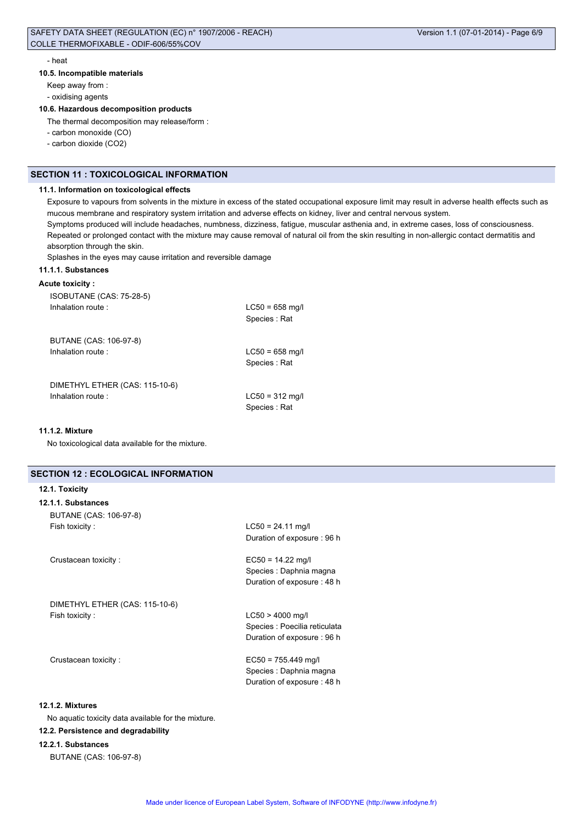## SAFETY DATA SHEET (REGULATION (EC) n° 1907/2006 - REACH) COLLE THERMOFIXABLE - ODIF-606/55%COV

#### - heat

**10.5. Incompatible materials**

Keep away from :

- oxidising agents

#### **10.6. Hazardous decomposition products**

The thermal decomposition may release/form :

- carbon monoxide (CO)

- carbon dioxide (CO2)

# **SECTION 11 : TOXICOLOGICAL INFORMATION**

#### **11.1. Information on toxicological effects**

Exposure to vapours from solvents in the mixture in excess of the stated occupational exposure limit may result in adverse health effects such as mucous membrane and respiratory system irritation and adverse effects on kidney, liver and central nervous system. Symptoms produced will include headaches, numbness, dizziness, fatigue, muscular asthenia and, in extreme cases, loss of consciousness. Repeated or prolonged contact with the mixture may cause removal of natural oil from the skin resulting in non-allergic contact dermatitis and absorption through the skin.

Splashes in the eyes may cause irritation and reversible damage

#### **11.1.1. Substances**

## **Acute toxicity :**

| ISOBUTANE (CAS: 75-28-5)       |                                   |
|--------------------------------|-----------------------------------|
| Inhalation route:              | $LC50 = 658$ mg/<br>Species: Rat  |
| BUTANE (CAS: 106-97-8)         |                                   |
| Inhalation route:              | $LC50 = 658$ mg/<br>Species: Rat  |
| DIMETHYL ETHER (CAS: 115-10-6) |                                   |
| Inhalation route:              | $LC50 = 312$ mg/l<br>Species: Rat |

#### **11.1.2. Mixture**

No toxicological data available for the mixture.

# **SECTION 12 : ECOLOGICAL INFORMATION**

## **12.1. Toxicity**

| 12.1.1. Substances     |
|------------------------|
| BUTANE (CAS: 106-97-8) |
| Fish toxicity:         |

Crustacean toxicity : EC50 = 14.22 mg/l

DIMETHYL ETHER (CAS: 115-10-6) Fish toxicity : LC50 > 4000 mg/l

 $LC50 = 24.11$  mg/l Duration of exposure : 96 h

Species : Daphnia magna Duration of exposure : 48 h

Species : Poecilia reticulata Duration of exposure : 96 h

Crustacean toxicity : EC50 = 755.449 mg/l Species : Daphnia magna Duration of exposure : 48 h

## **12.1.2. Mixtures**

No aquatic toxicity data available for the mixture.

## **12.2. Persistence and degradability**

## **12.2.1. Substances**

BUTANE (CAS: 106-97-8)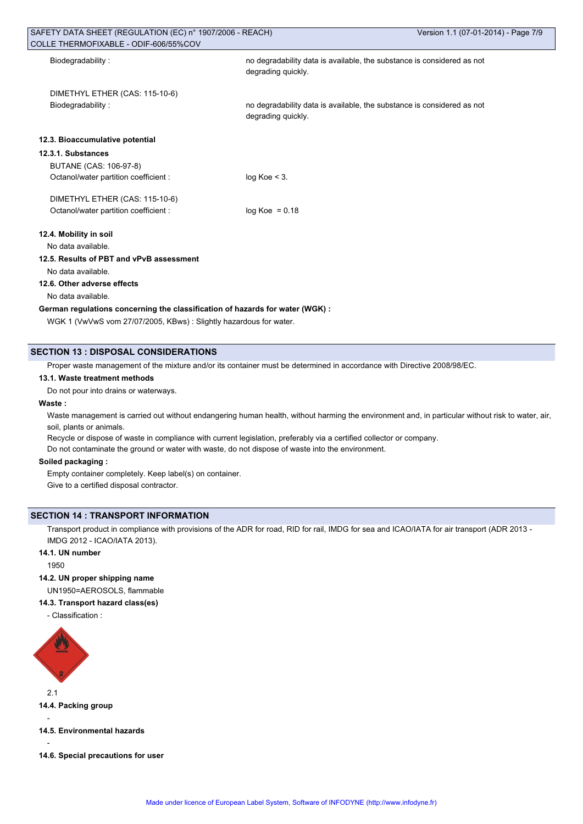| SAFETY DATA SHEET (REGULATION (EC) n° 1907/2006 - REACH)<br>COLLE THERMOFIXABLE - ODIF-606/55%COV |                                                                                              | Version 1.1 (07-01-2014) - Page 7/9 |  |  |
|---------------------------------------------------------------------------------------------------|----------------------------------------------------------------------------------------------|-------------------------------------|--|--|
| Biodegradability:                                                                                 | no degradability data is available, the substance is considered as not<br>degrading quickly. |                                     |  |  |
| DIMETHYL ETHER (CAS: 115-10-6)                                                                    |                                                                                              |                                     |  |  |
| Biodegradability:                                                                                 | no degradability data is available, the substance is considered as not<br>degrading quickly. |                                     |  |  |
| 12.3. Bioaccumulative potential                                                                   |                                                                                              |                                     |  |  |
| 12.3.1. Substances                                                                                |                                                                                              |                                     |  |  |
| BUTANE (CAS: 106-97-8)                                                                            |                                                                                              |                                     |  |  |
| Octanol/water partition coefficient :                                                             | $log Koe < 3$ .                                                                              |                                     |  |  |
| DIMETHYL ETHER (CAS: 115-10-6)                                                                    |                                                                                              |                                     |  |  |
| Octanol/water partition coefficient :                                                             | $log Koe = 0.18$                                                                             |                                     |  |  |
| 12.4. Mobility in soil                                                                            |                                                                                              |                                     |  |  |
| No data available.                                                                                |                                                                                              |                                     |  |  |
| 12.5. Results of PBT and vPvB assessment                                                          |                                                                                              |                                     |  |  |
| No data available.                                                                                |                                                                                              |                                     |  |  |
| 12.6. Other adverse effects                                                                       |                                                                                              |                                     |  |  |
| No data available.                                                                                |                                                                                              |                                     |  |  |
| German regulations concerning the classification of hazards for water (WGK) :                     |                                                                                              |                                     |  |  |
| WGK 1 (VwVwS vom 27/07/2005, KBws): Slightly hazardous for water.                                 |                                                                                              |                                     |  |  |

# **SECTION 13 : DISPOSAL CONSIDERATIONS**

Proper waste management of the mixture and/or its container must be determined in accordance with Directive 2008/98/EC.

### **13.1. Waste treatment methods**

Do not pour into drains or waterways.

# **Waste :**

Waste management is carried out without endangering human health, without harming the environment and, in particular without risk to water, air, soil, plants or animals.

Recycle or dispose of waste in compliance with current legislation, preferably via a certified collector or company.

Do not contaminate the ground or water with waste, do not dispose of waste into the environment.

#### **Soiled packaging :**

Empty container completely. Keep label(s) on container. Give to a certified disposal contractor.

# **SECTION 14 : TRANSPORT INFORMATION**

Transport product in compliance with provisions of the ADR for road, RID for rail, IMDG for sea and ICAO/IATA for air transport (ADR 2013 - IMDG 2012 - ICAO/IATA 2013).

# **14.1. UN number**

1950

# **14.2. UN proper shipping name**

UN1950=AEROSOLS, flammable

# **14.3. Transport hazard class(es)**

- Classification :



2.1

**14.4. Packing group**

```
14.5. Environmental hazards
```
-

-

**14.6. Special precautions for user**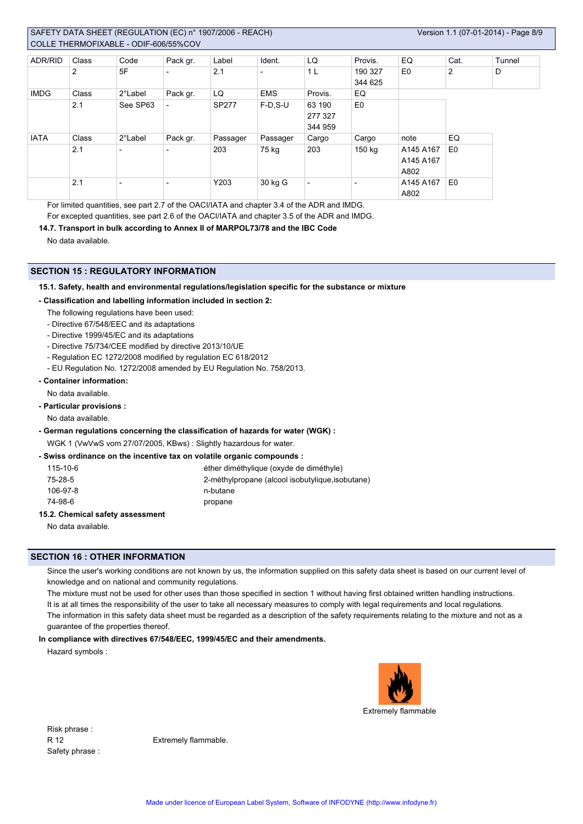# SAFETY DATA SHEET (REGULATION (EC) n° 1907/2006 - REACH) COLLE THERMOFIXABLE - ODIF-606/55%COV

| ADR/RID     | Class | Code                     | Pack gr.                 | Label    | Ident.                   | LQ                           | Provis.                  | EQ                             | Cat.           | Tunnel |
|-------------|-------|--------------------------|--------------------------|----------|--------------------------|------------------------------|--------------------------|--------------------------------|----------------|--------|
|             | 2     | 5F                       | $\overline{\phantom{0}}$ | 2.1      | $\overline{\phantom{0}}$ | 1 <sub>L</sub>               | 190 327<br>344 625       | E <sub>0</sub>                 | 2              | D      |
| <b>IMDG</b> | Class | 2°Label                  | Pack gr.                 | LQ       | <b>EMS</b>               | Provis.                      | EQ                       |                                |                |        |
|             | 2.1   | See SP63                 | $\overline{\phantom{0}}$ | SP277    | $F-D$ , S-U              | 63 190<br>277 327<br>344 959 | E <sub>0</sub>           |                                |                |        |
| <b>IATA</b> | Class | 2°Label                  | Pack gr.                 | Passager | Passager                 | Cargo                        | Cargo                    | note                           | EQ             |        |
|             | 2.1   | $\overline{\phantom{a}}$ | $\overline{\phantom{0}}$ | 203      | 75 kg                    | 203                          | 150 kg                   | A145 A167<br>A145 A167<br>A802 | E <sub>0</sub> |        |
|             | 2.1   | $\overline{\phantom{a}}$ | $\overline{\phantom{a}}$ | Y203     | 30 kg G                  | $\overline{\phantom{0}}$     | $\overline{\phantom{0}}$ | A145 A167<br>A802              | E <sub>0</sub> |        |

For limited quantities, see part 2.7 of the OACI/IATA and chapter 3.4 of the ADR and IMDG. For excepted quantities, see part 2.6 of the OACI/IATA and chapter 3.5 of the ADR and IMDG.

#### **14.7. Transport in bulk according to Annex II of MARPOL73/78 and the IBC Code**

No data available.

## **SECTION 15 : REGULATORY INFORMATION**

## **15.1. Safety, health and environmental regulations/legislation specific for the substance or mixture**

#### **- Classification and labelling information included in section 2:**

- The following regulations have been used:
- Directive 67/548/EEC and its adaptations
- Directive 1999/45/EC and its adaptations
- Directive 75/734/CEE modified by directive 2013/10/UE
- Regulation EC 1272/2008 modified by regulation EC 618/2012
- EU Regulation No. 1272/2008 amended by EU Regulation No. 758/2013.
- **Container information:**

No data available.

**- Particular provisions :**

No data available.

- **German regulations concerning the classification of hazards for water (WGK) :** WGK 1 (VwVwS vom 27/07/2005, KBws) : Slightly hazardous for water.
- **Swiss ordinance on the incentive tax on volatile organic compounds :**

| 115-10-6                         | éther diméthylique (oxyde de diméthyle)          |
|----------------------------------|--------------------------------------------------|
| 75-28-5                          | 2-méthylpropane (alcool isobutylique, isobutane) |
| 106-97-8                         | n-butane                                         |
| 74-98-6                          | propane                                          |
| I5 2. Chamical esfaty secacemant |                                                  |

#### **15.2. Chemical safety**

No data available.

# **SECTION 16 : OTHER INFORMATION**

Since the user's working conditions are not known by us, the information supplied on this safety data sheet is based on our current level of knowledge and on national and community regulations.

The mixture must not be used for other uses than those specified in section 1 without having first obtained written handling instructions. It is at all times the responsibility of the user to take all necessary measures to comply with legal requirements and local regulations. The information in this safety data sheet must be regarded as a description of the safety requirements relating to the mixture and not as a guarantee of the properties thereof.

#### **In compliance with directives 67/548/EEC, 1999/45/EC and their amendments.**

Hazard symbols :



Extremely flammable

Risk phrase : Safety phrase :

R 12 Extremely flammable.